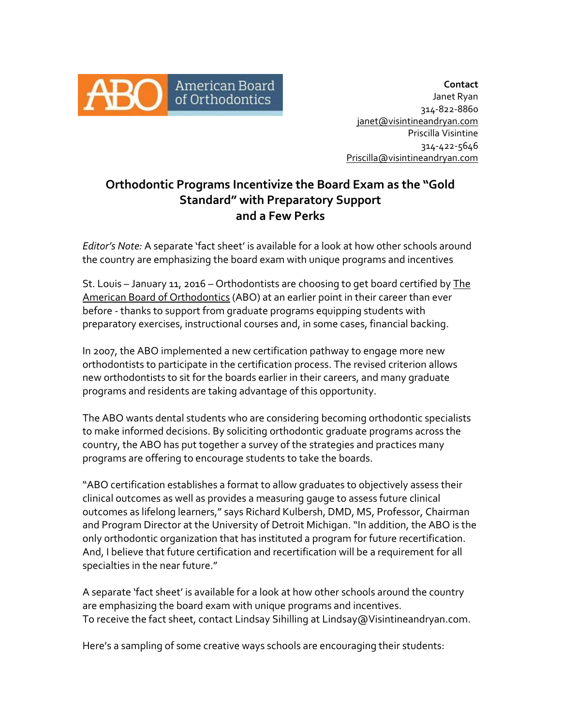

**Contact** Janet Ryan 314-822-8860 [janet@visintineandryan.com](mailto:janet@visintineandryan.com) Priscilla Visintine 314-422-5646 [Priscilla@visintineandryan.com](mailto:Priscilla@visintineandryan.com)

# **Orthodontic Programs Incentivize the Board Exam as the "Gold Standard" with Preparatory Support and a Few Perks**

*Editor's Note:* A separate 'fact sheet' is available for a look at how other schools around the country are emphasizing the board exam with unique programs and incentives

St. Louis – January 11, 2016 – Orthodontists are choosing to get board certified by The [American Board of Orthodontics](https://www.americanboardortho.com/) (ABO) at an earlier point in their career than ever before - thanks to support from graduate programs equipping students with preparatory exercises, instructional courses and, in some cases, financial backing.

In 2007, the ABO implemented a new certification pathway to engage more new orthodontists to participate in the certification process. The revised criterion allows new orthodontists to sit for the boards earlier in their careers, and many graduate programs and residents are taking advantage of this opportunity.

The ABO wants dental students who are considering becoming orthodontic specialists to make informed decisions. By soliciting orthodontic graduate programs across the country, the ABO has put together a survey of the strategies and practices many programs are offering to encourage students to take the boards.

"ABO certification establishes a format to allow graduates to objectively assess their clinical outcomes as well as provides a measuring gauge to assess future clinical outcomes as lifelong learners," says Richard Kulbersh, DMD, MS, Professor, Chairman and Program Director at the University of Detroit Michigan."In addition, the ABO is the only orthodontic organization that has instituted a program for future recertification. And, I believe that future certification and recertification will be a requirement for all specialties in the near future."

A separate 'fact sheet' is available for a look at how other schools around the country are emphasizing the board exam with unique programs and incentives. To receive the fact sheet, contact Lindsay Sihilling at Lindsay@Visintineandryan.com.

Here's a sampling of some creative ways schools are encouraging their students: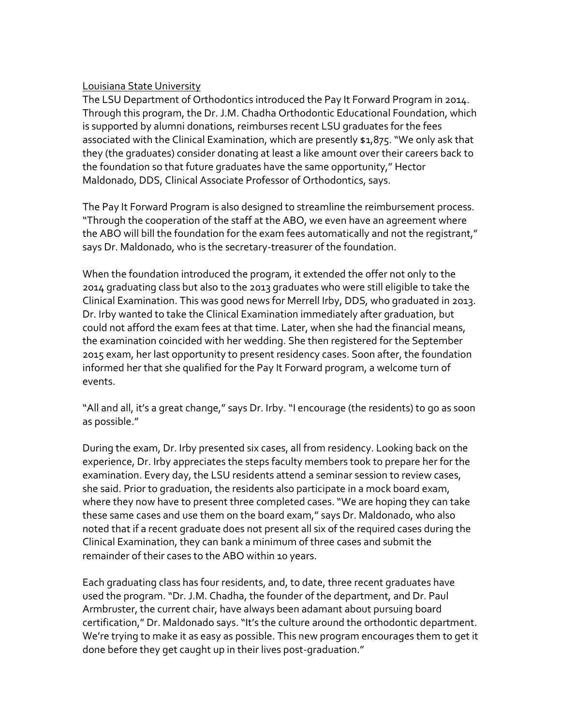#### [Louisiana State University](http://www.lsusd.lsuhsc.edu/)

The LSU Department of Orthodontics introduced the Pay It Forward Program in 2014. Through this program, the Dr. J.M. Chadha Orthodontic Educational Foundation, which is supported by alumni donations, reimburses recent LSU graduates for the fees associated with the Clinical Examination, which are presently \$1,875. "We only ask that they (the graduates) consider donating at least a like amount over their careers back to the foundation so that future graduates have the same opportunity," Hector Maldonado, DDS, Clinical Associate Professor of Orthodontics, says.

The Pay It Forward Program is also designed to streamline the reimbursement process. "Through the cooperation of the staff at the ABO, we even have an agreement where the ABO will bill the foundation for the exam fees automatically and not the registrant," says Dr. Maldonado, who is the secretary-treasurer of the foundation.

When the foundation introduced the program, it extended the offer not only to the 2014 graduating class but also to the 2013 graduates who were still eligible to take the Clinical Examination. This was good news for Merrell Irby, DDS, who graduated in 2013. Dr. Irby wanted to take the Clinical Examination immediately after graduation, but could not afford the exam fees at that time. Later, when she had the financial means, the examination coincided with her wedding. She then registered for the September 2015 exam, her last opportunity to present residency cases. Soon after, the foundation informed her that she qualified for the Pay It Forward program, a welcome turn of events.

"All and all, it's a great change," says Dr. Irby. "I encourage (the residents) to go as soon as possible."

During the exam, Dr. Irby presented six cases, all from residency. Looking back on the experience, Dr. Irby appreciates the steps faculty members took to prepare her for the examination. Every day, the LSU residents attend a seminar session to review cases, she said. Prior to graduation, the residents also participate in a mock board exam, where they now have to present three completed cases. "We are hoping they can take these same cases and use them on the board exam," says Dr. Maldonado, who also noted that if a recent graduate does not present all six of the required cases during the Clinical Examination, they can bank a minimum of three cases and submit the remainder of their cases to the ABO within 10 years.

Each graduating class has four residents, and, to date, three recent graduates have used the program. "Dr. J.M. Chadha, the founder of the department, and Dr. Paul Armbruster, the current chair, have always been adamant about pursuing board certification," Dr. Maldonado says. "It's the culture around the orthodontic department. We're trying to make it as easy as possible. This new program encourages them to get it done before they get caught up in their lives post-graduation."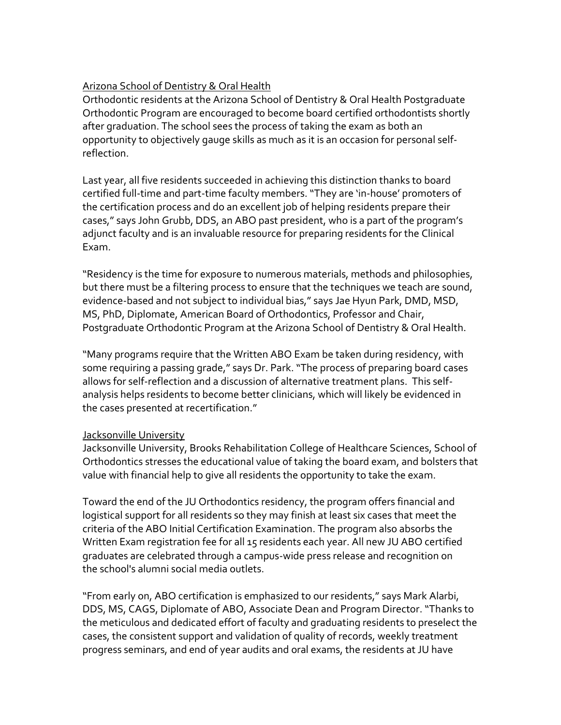# [Arizona School of Dentistry & Oral Health](http://www.atsu.edu/asdoh/)

Orthodontic residents at the Arizona School of Dentistry & Oral Health Postgraduate Orthodontic Program are encouraged to become board certified orthodontists shortly after graduation. The school sees the process of taking the exam as both an opportunity to objectively gauge skills as much as it is an occasion for personal selfreflection.

Last year, all five residents succeeded in achieving this distinction thanks to board certified full-time and part-time faculty members. "They are 'in-house' promoters of the certification process and do an excellent job of helping residents prepare their cases," says John Grubb, DDS, an ABO past president, who is a part of the program's adjunct faculty and is an invaluable resource for preparing residents for the Clinical Exam.

"Residency is the time for exposure to numerous materials, methods and philosophies, but there must be a filtering process to ensure that the techniques we teach are sound, evidence-based and not subject to individual bias," says Jae Hyun Park, DMD, MSD, MS, PhD, Diplomate, American Board of Orthodontics, Professor and Chair, Postgraduate Orthodontic Program at the Arizona School of Dentistry & Oral Health.

"Many programs require that the Written ABO Exam be taken during residency, with some requiring a passing grade," says Dr. Park. "The process of preparing board cases allows for self-reflection and a discussion of alternative treatment plans. This selfanalysis helps residents to become better clinicians, which will likely be evidenced in the cases presented at recertification."

### Jacksonville University

Jacksonville University, Brooks Rehabilitation College of Healthcare Sciences, School of Orthodontics stresses the educational value of taking the board exam, and bolsters that value with financial help to give all residents the opportunity to take the exam.

Toward the end of the JU Orthodontics residency, the program offers financial and logistical support for all residents so they may finish at least six cases that meet the criteria of the ABO Initial Certification Examination. The program also absorbs the Written Exam registration fee for all 15 residents each year. All new JU ABO certified graduates are celebrated through a campus-wide press release and recognition on the school's alumni social media outlets.

"From early on, ABO certification is emphasized to our residents," says Mark Alarbi, DDS, MS, CAGS, Diplomate of ABO, Associate Dean and Program Director. "Thanks to the meticulous and dedicated effort of faculty and graduating residents to preselect the cases, the consistent support and validation of quality of records, weekly treatment progress seminars, and end of year audits and oral exams, the residents at JU have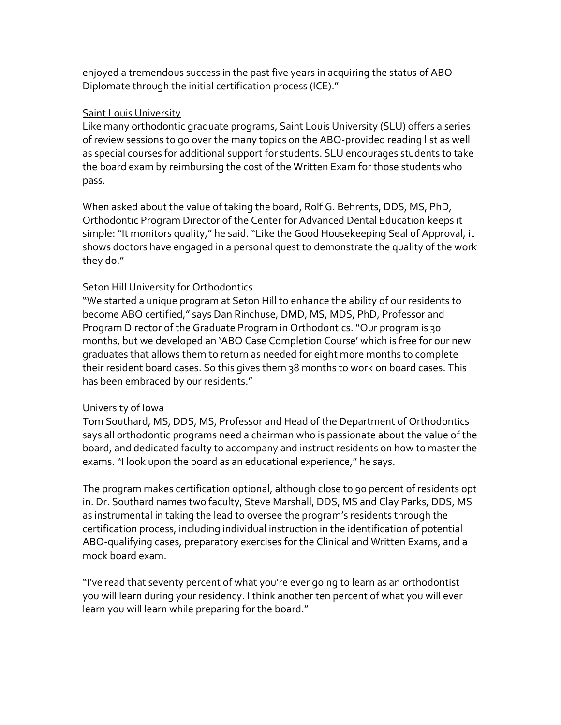enjoyed a tremendous success in the past five years in acquiring the status of ABO Diplomate through the initial certification process (ICE)."

### [Saint Louis University](http://www.slu.edu/cade)

Like many orthodontic graduate programs, Saint Louis University (SLU) offers a series of review sessions to go over the many topics on the ABO-provided reading list as well as special courses for additional support for students. SLU encourages students to take the board exam by reimbursing the cost of the Written Exam for those students who pass.

When asked about the value of taking the board, Rolf G. Behrents, DDS, MS, PhD, Orthodontic Program Director of the Center for Advanced Dental Education keeps it simple: "It monitors quality," he said. "Like the Good Housekeeping Seal of Approval, it shows doctors have engaged in a personal quest to demonstrate the quality of the work they do."

## [Seton Hill University for Orthodontics](http://www.setonhill.edu/shusmiles/index.php)

"We started a unique program at Seton Hill to enhance the ability of our residents to become ABO certified," says Dan Rinchuse, DMD, MS, MDS, PhD, Professor and Program Director of the Graduate Program in Orthodontics. "Our program is 30 months, but we developed an 'ABO Case Completion Course' which is free for our new graduates that allows them to return as needed for eight more months to complete their resident board cases. So this gives them 38 months to work on board cases. This has been embraced by our residents."

# [University of Iowa](https://www.dentistry.uiowa.edu/orthodontics)

Tom Southard, MS, DDS, MS, Professor and Head of the Department of Orthodontics says all orthodontic programs need a chairman who is passionate about the value of the board, and dedicated faculty to accompany and instruct residents on how to master the exams. "I look upon the board as an educational experience," he says.

The program makes certification optional, although close to 90 percent of residents opt in. Dr. Southard names two faculty, Steve Marshall, DDS, MS and Clay Parks, DDS, MS as instrumental in taking the lead to oversee the program's residents through the certification process, including individual instruction in the identification of potential ABO-qualifying cases, preparatory exercises for the Clinical and Written Exams, and a mock board exam.

"I've read that seventy percent of what you're ever going to learn as an orthodontist you will learn during your residency. I think another ten percent of what you will ever learn you will learn while preparing for the board."